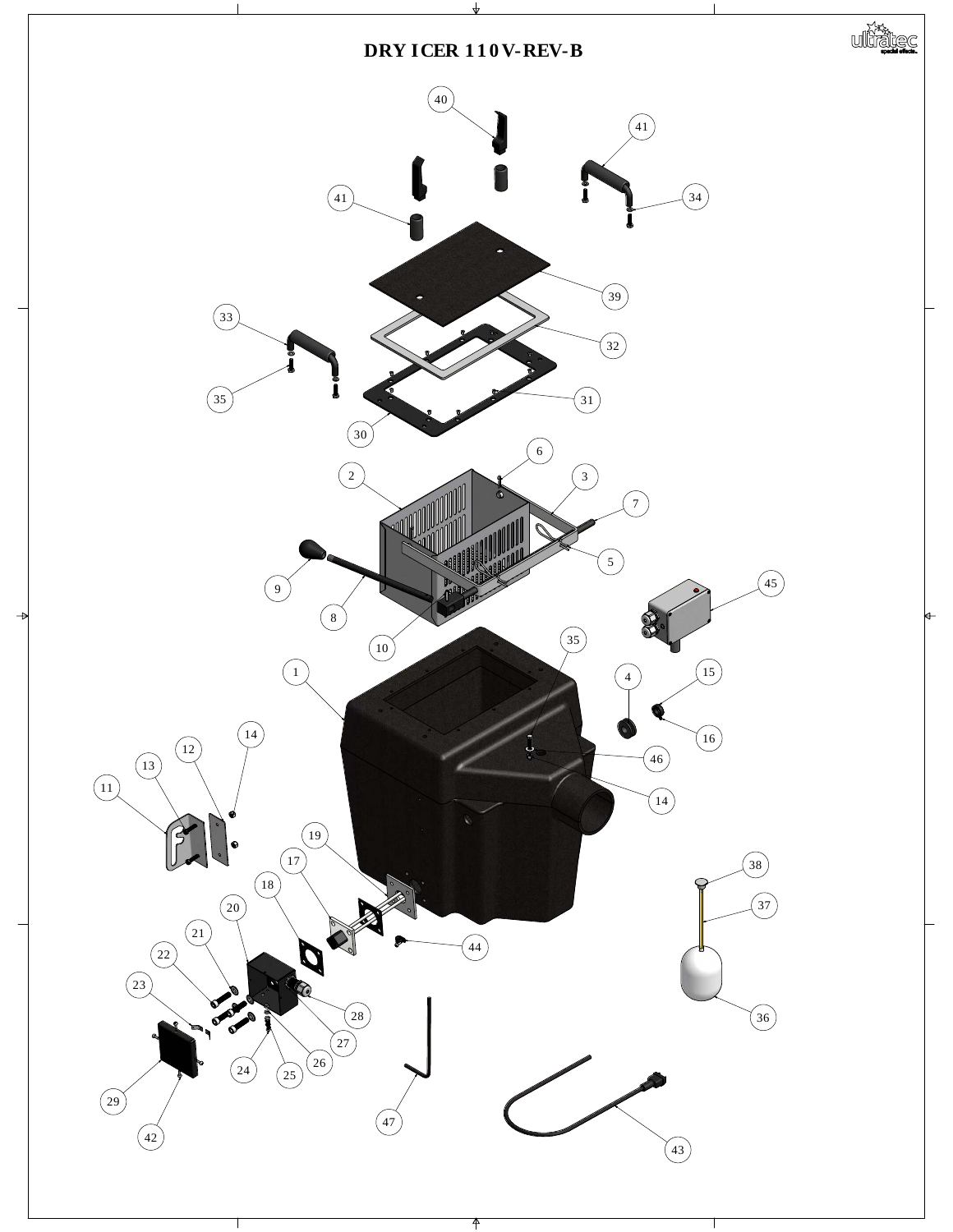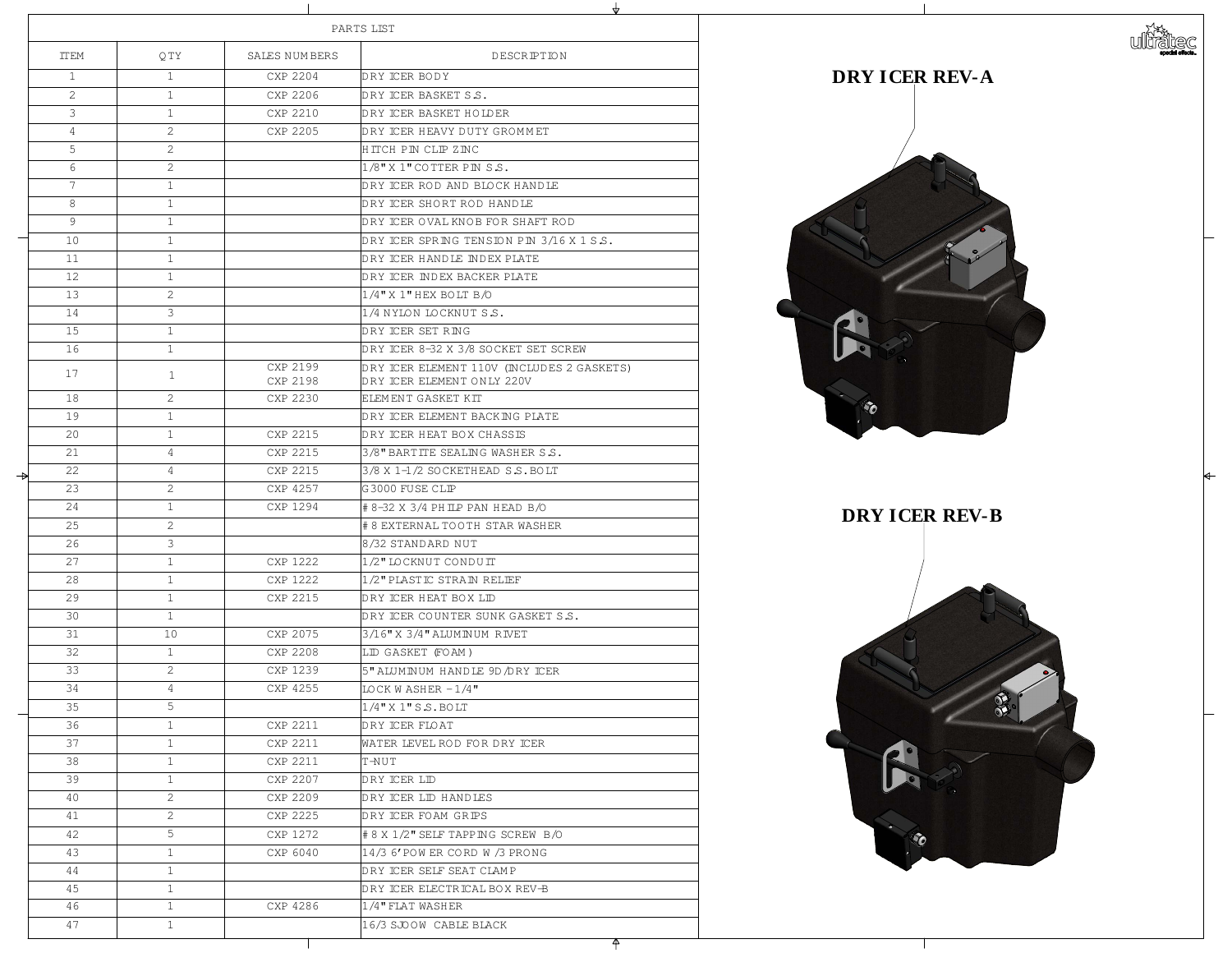|               |                | PARTS LIST            |                      |                                                     |
|---------------|----------------|-----------------------|----------------------|-----------------------------------------------------|
|               | <b>TTEM</b>    | QTY                   | SALES NUMBERS        | DES                                                 |
|               |                |                       | CXP 2204             | DRY ICER BODY                                       |
|               | $\overline{2}$ |                       | CXP 2206             | DRY ICER BASKET S.S.                                |
|               | 3              |                       | CXP 2210             | DRY ICER BASKET HOLDER                              |
|               | $\overline{4}$ | $\sum_{i=1}^{n}$      | CXP 2205             | DRY ICER HEAVY DUTY GRO                             |
|               | 5              | $\sum_{i=1}^{n}$      |                      | HITCH PIN CLIP ZINC                                 |
|               | 6              | $\overline{2}$        |                      | $1/8$ " X $1$ " COTTER PIN S.S.                     |
|               |                |                       |                      | DRY ICER ROD AND BLOCK                              |
|               | 8              |                       |                      | DRY ICER SHORT ROD HAN                              |
|               | 9              |                       |                      | DRY ICER OVAL KNOB FOR                              |
|               | 10             |                       |                      | DRY ICER SPRING TENSION                             |
|               | 11             |                       |                      | DRY ICER HANDLE INDEX P                             |
|               | 12             |                       |                      | DRY ICER INDEX BACKER P                             |
|               | 13             | $\mathcal{D}_{\cdot}$ |                      | $1/4$ " X $1$ " HEX BOLT B/O                        |
|               | 14             |                       |                      | 1/4 NYLON LOCKNUT S.S.                              |
|               | 15             |                       |                      | DRY ICER SET RING                                   |
|               | 16             |                       |                      | DRY ICER 8-32 X 3/8 SOCKI                           |
|               | 1 ワ            |                       | CXP 2199<br>CXP 2198 | DRY ICER ELEMENT 110V (I<br>DRY ICER ELEMENT ONLY 2 |
|               | 18             | $\overline{2}$        | CXP 2230             | ELEMENT GASKET KIT                                  |
|               | 19             |                       |                      | DRY ICER ELEMENT BACKIN                             |
|               | 20             |                       | CXP 2215             | DRY ICER HEAT BOX CHASS                             |
|               | 21             | $\overline{4}$        | CXP 2215             | 3/8" BARTITE SEALING WAS                            |
| $\rightarrow$ | 22             | $\overline{4}$        | CXP 2215             | 3/8 X 1-1/2 SOCKETHEAD S                            |
|               | 23             | $\sum$                | CXP 4257             | G3000 FUSE CLIP                                     |
|               | 24             |                       | CXP 1294             | # 8–32 X 3/4 PH ILP PAN HE <i>l</i>                 |
|               | 25             | $\sum_{i=1}^{n}$      |                      | # 8 EXTERNAL TOOTH STAF                             |
|               | 26             |                       |                      | 8/32 STANDARD NUT                                   |
|               | 27             |                       | CXP 1222             | 1/2" LOCKNUT CONDUIT                                |
|               | 28             |                       | CXP 1222             | 1/2" PLASTIC STRAIN RELIE                           |
|               | 29             |                       | CXP 2215             | DRY ICER HEAT BOX LID                               |
|               | 30             |                       |                      | DRY ICER COUNTER SUNK                               |
|               | 31             | 10                    | CXP 2075             | 3/16" X 3/4" ALUMINUM RI                            |
|               | 32             |                       | CXP 2208             | LID GASKET (FOAM)                                   |
|               | 33             | $\sum$                | CXP 1239             | 5"ALUMINUM HANDIE 9D/I                              |
|               | 34             | $\overline{4}$        | CXP 4255             | $\overline{\rm LOCK}$ W ASHER $-1/4$ "              |
|               | 35             | 5                     |                      | $1/4$ " X $1$ " S $S$ . BOLT                        |
|               | 36             |                       | CXP 2211             | DRY ICER FLOAT                                      |
|               | 37             |                       | CXP 2211             | WATER LEVEL ROD FOR DRI                             |
|               | 38             |                       | CXP 2211             | THUT                                                |
|               | 39             |                       | CXP 2207             | DRY ICER LID                                        |
|               | 40             | $\overline{2}$        | CXP 2209             | DRY ICER LID HANDIES                                |
|               | 41             | $\sum$                | CXP 2225             | DRY ICER FOAM GRIPS                                 |
|               | 42             | 5                     | CXP 1272             | # 8 X 1/2" SELF TAPP ING S(                         |
|               | 43             |                       | CXP 6040             | 14/3 6' POW ER CORD W /3 I                          |
|               | 44             |                       |                      | DRY ICER SELF SEAT CLAMI                            |
|               | 45             |                       |                      | DRY ICER ELECTRICAL BOX                             |
|               | 46             |                       | CXP 4286             | $1/4$ " FLAT WASHER                                 |
|               | 47             |                       |                      | 16/3 SJOOW CABLE BLACK                              |

DESCRIPTION DRY ICER BODY DRY ICER BASKET S.S. DRY ICER BASKET HOLDER DRY ICER HEAVY DUTY GROMMET 5 2 HITCH PIN CLIP ZINC  $\left|1/8$ " X  $1$ " cotter PIN S.S. DRY ICER ROD AND BLOCK HANDLE DRY ICER SHORT ROD HANDLE DRY ICER OVAL KNOB FOR SHAFT ROD DRY ICER SPRING TENSION PIN 3/16 X 1 S.S. DRY ICER HANDLE INDEX PLATE DRY ICER INDEX BACKER PLATE  $1/4$ " X  $1$ " HEX BOLT B/O 1/4 NYLON LOCKNUT S.S. DRY ICER SET RING DRY ICER 8-32 X 3/8 SOCKET SET SCREW DRY ICER ELEMENT 110V (INCLUDES 2 GASKETS) DRY ICER ELEMENT ONLY 220V ELEM ENT GASKET KIT DRY ICER ELEMENT BACKING PLATE DRY ICER HEAT BOX CHASSIS 3/8" BARTITE SEALING WASHER S.S.  $3/8$  X 1-1/2 SOCKETHEAD S.S. BOLT  $G3000$  FUSE CLIP |# 8-32 X 3/4 PHILP PAN HEAD B/O 25 2 #8 EXTERNAL TOOTH STAR WASHER 8/32 STANDARD NUT 1/2" LOCKNUT CONDUIT 1/2" PLASTIC STRAIN RELIEF DRY ICER HEAT BOX LID DRY ICER COUNTER SUNK GASKET S.S.  $3/16$ " X 3/4" ALUMINUM RIVET LID GASKET (FOAM ) 33 2 CXP 1239 5" ALUMINUM HANDLE 9D/DRY ICER  $LOCKWASHER - 1/4"$  $1/4$ " X 1" S.S. BOLT DRY ICER FLOAT WATER LEVEL ROD FOR DRY ICER DRY ICER LID DRY ICER LID HANDLES DRY ICER FOAM GRIPS  $\#8$  X  $1/2$ " SELF TAPPING SCREW B/O 14/3 6' POW ER CORD W /3 PRONG DRY ICER SELF SEAT CLAM P DRY ICER ELECTRICAL BOX REV-B  $\left| {1/4} \right\rangle$   $^{\prime\prime}$  FLAT WASHER

![](_page_1_Picture_4.jpeg)

![](_page_1_Picture_5.jpeg)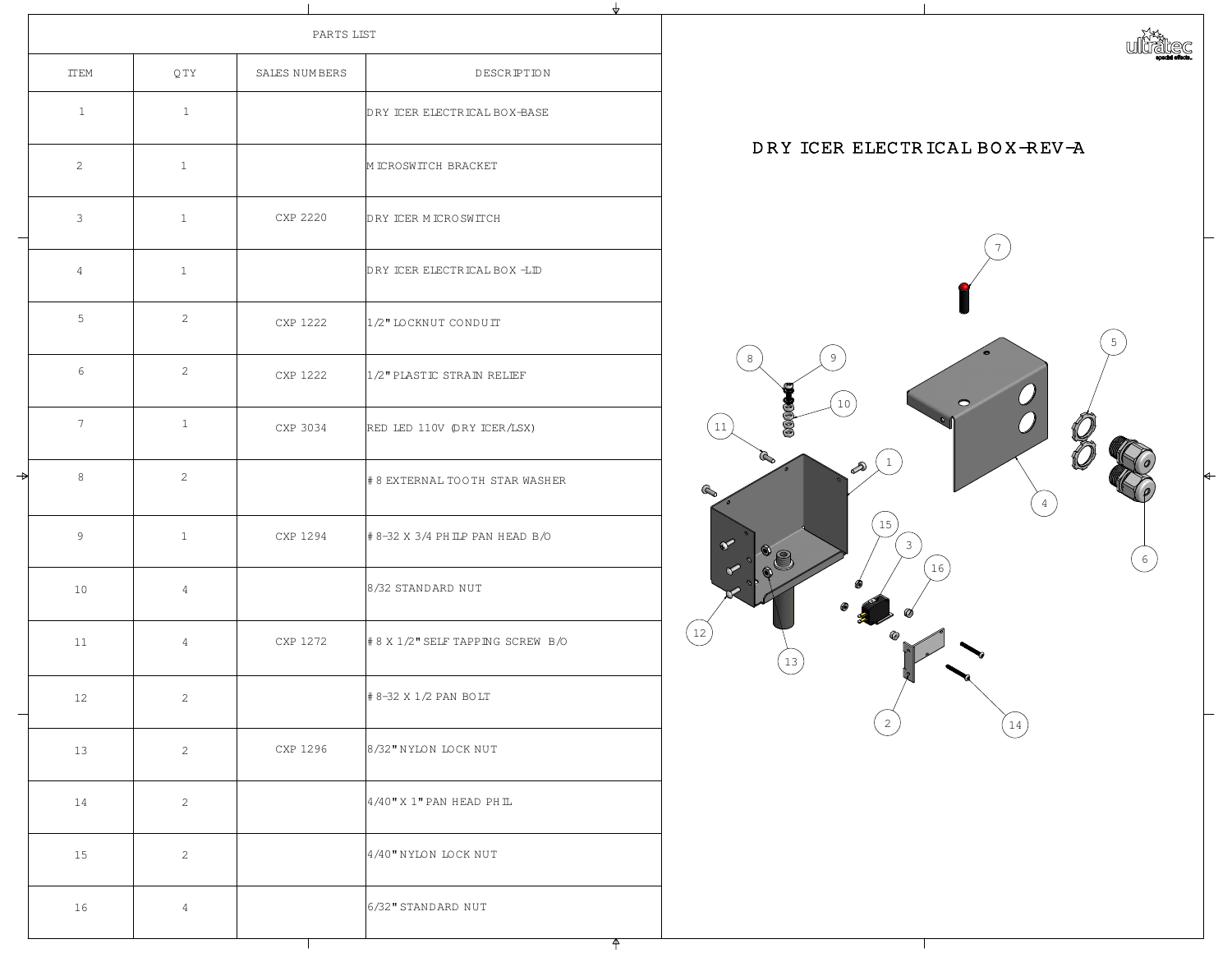|     |               | PARTS 1 |
|-----|---------------|---------|
| QTY | SALES NUMBERS |         |
|     |               |         |

|  | <b>TTEM</b>    | QTY            | SALES NUMBERS | DESCRIPTION                        |
|--|----------------|----------------|---------------|------------------------------------|
|  |                |                |               | DRY ICER ELECTRICAL BOX-BASE       |
|  | $\overline{2}$ |                |               | M ICROSWITCH BRACKET               |
|  | 3              |                | CXP 2220      | DRY ICER M ICRO SWITCH             |
|  |                |                |               | DRY ICER ELECTRICAL BOX -LID       |
|  | 5              |                | CXP 1222      | 1/2" LOCKNUT CONDUIT               |
|  | 6              | ⌒              | CXP 1222      | 1/2" PLASTIC STRAIN RELIEF         |
|  |                |                | CXP 3034      | RED LED 110V (DRY ICER/LSX)        |
|  | 8              | $\overline{2}$ |               | # 8 EXTERNAL TOOTH STAR WASHER     |
|  | 9              |                | CXP 1294      | # 8-32 X 3/4 PH ILP PAN HEAD B/O   |
|  | 10             | $\overline{4}$ |               | 8/32 STANDARD NUT                  |
|  | 11             | $\overline{4}$ | CXP 1272      | # 8 X 1/2" SELF TAPP ING SCREW B/O |
|  | 12             | $\bigcirc$     |               | # 8-32 X 1/2 PAN BOLT              |
|  | 13             | $\bigcirc$     | CXP 1296      | 8/32" NYLON LOCK NUT               |
|  | 14             |                |               | $4/40$ " X 1" PAN HEAD PH IL       |
|  | 15             |                |               | 4/40" NYLON LOCK NUT               |
|  | 16             |                |               | 6/32" STANDARD NUT                 |
|  |                |                |               |                                    |

| DESCRIPTION                      |
|----------------------------------|
| RY ICER ELECTRICAL BOX-BASE      |
| I ICROSWITCH BRACKET             |
| RY ICER M ICRO SWITCH            |
| RY ICER ELECTRICAL BOX -LID      |
| ./2" LOCKNUT CONDUIT             |
| /2" PLASTIC STRAIN RELIEF        |
| KED LED 110V (DRY ICER/LSX)      |
| 8 EXTERNAL TOOTH STAR WASHER     |
| 8-32 X 3/4 PH ILP PAN HEAD B/O   |
| 3/32 STANDARD NUT                |
| 8 X 1/2" SELF TAPP ING SCREW B/O |
| 8-32 X 1/2 PAN BOLT              |

 $\mathbf{\mathcal{L}}$ 

![](_page_2_Picture_9.jpeg)